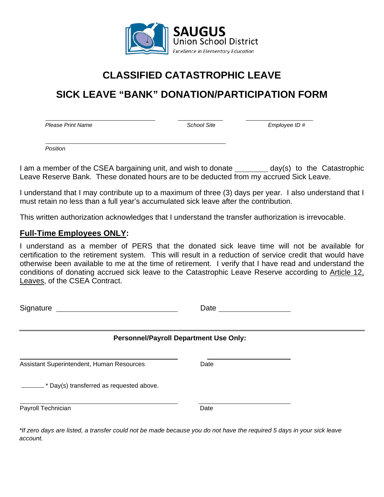

# **CLASSIFIED CATASTROPHIC LEAVE**

# **SICK LEAVE "BANK" DONATION/PARTICIPATION FORM**

*Please Print Name School Site Employee ID #*

*Position*

֦

I am a member of the CSEA bargaining unit, and wish to donate \_\_\_\_\_\_\_\_\_ day(s) to the Catastrophic Leave Reserve Bank. These donated hours are to be deducted from my accrued Sick Leave.

I understand that I may contribute up to a maximum of three (3) days per year. I also understand that I must retain no less than a full year's accumulated sick leave after the contribution.

This written authorization acknowledges that I understand the transfer authorization is irrevocable.

## **Full-Time Employees ONLY:**

I understand as a member of PERS that the donated sick leave time will not be available for certification to the retirement system. This will result in a reduction of service credit that would have otherwise been available to me at the time of retirement. I verify that I have read and understand the conditions of donating accrued sick leave to the Catastrophic Leave Reserve according to Article 12, Leaves, of the CSEA Contract.

| Signature                                 | Date                                          |  |
|-------------------------------------------|-----------------------------------------------|--|
|                                           | <b>Personnel/Payroll Department Use Only:</b> |  |
| Assistant Superintendent, Human Resources | Date                                          |  |
| Day(s) transferred as requested above.    |                                               |  |
| Payroll Technician                        | Date                                          |  |

*\*If zero days are listed, a transfer could not be made because you do not have the required 5 days in your sick leave account.*